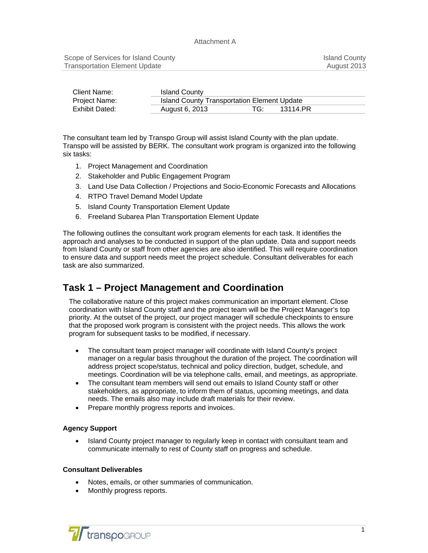| Client Name:         | <b>Island County</b>                        |     |          |  |
|----------------------|---------------------------------------------|-----|----------|--|
| <b>Project Name:</b> | Island County Transportation Element Update |     |          |  |
| Exhibit Dated:       | August 6, 2013                              | TG: | 13114.PR |  |

The consultant team led by Transpo Group will assist Island County with the plan update. Transpo will be assisted by BERK. The consultant work program is organized into the following six tasks:

- 1. Project Management and Coordination
- 2. Stakeholder and Public Engagement Program
- 3. Land Use Data Collection / Projections and Socio-Economic Forecasts and Allocations
- 4. RTPO Travel Demand Model Update
- 5. Island County Transportation Element Update
- 6. Freeland Subarea Plan Transportation Element Update

The following outlines the consultant work program elements for each task. It identifies the approach and analyses to be conducted in support of the plan update. Data and support needs from Island County or staff from other agencies are also identified. This will require coordination to ensure data and support needs meet the project schedule. Consultant deliverables for each task are also summarized.

# **Task 1 – Project Management and Coordination**

The collaborative nature of this project makes communication an important element. Close coordination with Island County staff and the project team will be the Project Manager's top priority. At the outset of the project, our project manager will schedule checkpoints to ensure that the proposed work program is consistent with the project needs. This allows the work program for subsequent tasks to be modified, if necessary.

- The consultant team project manager will coordinate with Island County's project manager on a regular basis throughout the duration of the project. The coordination will address project scope/status, technical and policy direction, budget, schedule, and meetings. Coordination will be via telephone calls, email, and meetings, as appropriate.
- The consultant team members will send out emails to Island County staff or other stakeholders, as appropriate, to inform them of status, upcoming meetings, and data needs. The emails also may include draft materials for their review.
- Prepare monthly progress reports and invoices.

### **Agency Support**

• Island County project manager to regularly keep in contact with consultant team and communicate internally to rest of County staff on progress and schedule.

### **Consultant Deliverables**

- Notes, emails, or other summaries of communication.
- Monthly progress reports.

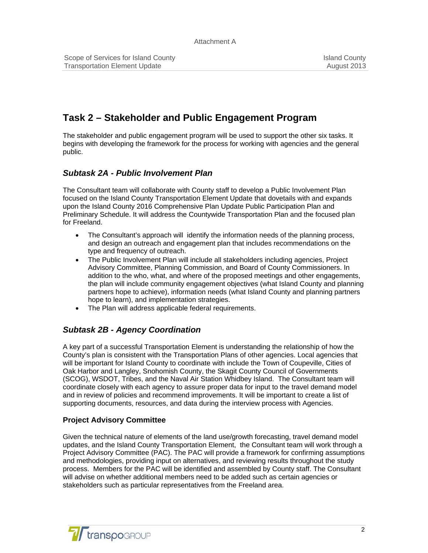# **Task 2 – Stakeholder and Public Engagement Program**

The stakeholder and public engagement program will be used to support the other six tasks. It begins with developing the framework for the process for working with agencies and the general public.

## *Subtask 2A - Public Involvement Plan*

The Consultant team will collaborate with County staff to develop a Public Involvement Plan focused on the Island County Transportation Element Update that dovetails with and expands upon the Island County 2016 Comprehensive Plan Update Public Participation Plan and Preliminary Schedule. It will address the Countywide Transportation Plan and the focused plan for Freeland.

- The Consultant's approach will identify the information needs of the planning process, and design an outreach and engagement plan that includes recommendations on the type and frequency of outreach.
- The Public Involvement Plan will include all stakeholders including agencies, Project Advisory Committee, Planning Commission, and Board of County Commissioners. In addition to the who, what, and where of the proposed meetings and other engagements, the plan will include community engagement objectives (what Island County and planning partners hope to achieve), information needs (what Island County and planning partners hope to learn), and implementation strategies.
- The Plan will address applicable federal requirements.

# *Subtask 2B - Agency Coordination*

A key part of a successful Transportation Element is understanding the relationship of how the County's plan is consistent with the Transportation Plans of other agencies. Local agencies that will be important for Island County to coordinate with include the Town of Coupeville, Cities of Oak Harbor and Langley, Snohomish County, the Skagit County Council of Governments (SCOG), WSDOT, Tribes, and the Naval Air Station Whidbey Island. The Consultant team will coordinate closely with each agency to assure proper data for input to the travel demand model and in review of policies and recommend improvements. It will be important to create a list of supporting documents, resources, and data during the interview process with Agencies.

## **Project Advisory Committee**

Given the technical nature of elements of the land use/growth forecasting, travel demand model updates, and the Island County Transportation Element, the Consultant team will work through a Project Advisory Committee (PAC). The PAC will provide a framework for confirming assumptions and methodologies, providing input on alternatives, and reviewing results throughout the study process. Members for the PAC will be identified and assembled by County staff. The Consultant will advise on whether additional members need to be added such as certain agencies or stakeholders such as particular representatives from the Freeland area.

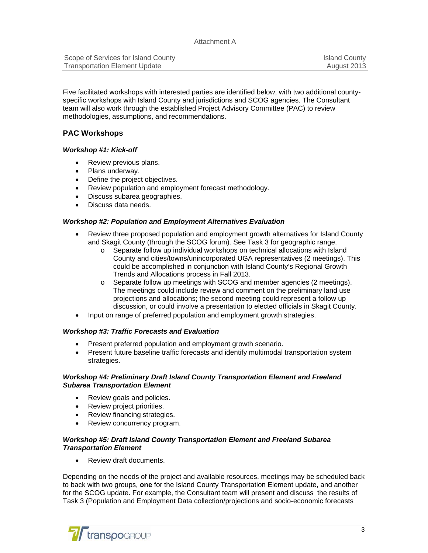| Scope of Services for Island County  | <b>Island County</b> |
|--------------------------------------|----------------------|
| <b>Transportation Element Update</b> | August 2013          |

Five facilitated workshops with interested parties are identified below, with two additional countyspecific workshops with Island County and jurisdictions and SCOG agencies. The Consultant team will also work through the established Project Advisory Committee (PAC) to review methodologies, assumptions, and recommendations.

## **PAC Workshops**

### *Workshop #1: Kick-off*

- Review previous plans.
- Plans underway.
- Define the project objectives.
- Review population and employment forecast methodology.
- Discuss subarea geographies.
- Discuss data needs.

#### *Workshop #2: Population and Employment Alternatives Evaluation*

- Review three proposed population and employment growth alternatives for Island County and Skagit County (through the SCOG forum). See Task 3 for geographic range.
	- o Separate follow up individual workshops on technical allocations with Island County and cities/towns/unincorporated UGA representatives (2 meetings). This could be accomplished in conjunction with Island County's Regional Growth Trends and Allocations process in Fall 2013.
	- o Separate follow up meetings with SCOG and member agencies (2 meetings). The meetings could include review and comment on the preliminary land use projections and allocations; the second meeting could represent a follow up discussion, or could involve a presentation to elected officials in Skagit County.
- Input on range of preferred population and employment growth strategies.

#### *Workshop #3: Traffic Forecasts and Evaluation*

- Present preferred population and employment growth scenario.
- Present future baseline traffic forecasts and identify multimodal transportation system strategies.

#### *Workshop #4: Preliminary Draft Island County Transportation Element and Freeland Subarea Transportation Element*

- Review goals and policies.
- Review project priorities.
- Review financing strategies.
- Review concurrency program.

### *Workshop #5: Draft Island County Transportation Element and Freeland Subarea Transportation Element*

• Review draft documents.

Depending on the needs of the project and available resources, meetings may be scheduled back to back with two groups, **one** for the Island County Transportation Element update, and another for the SCOG update. For example, the Consultant team will present and discuss the results of Task 3 (Population and Employment Data collection/projections and socio-economic forecasts

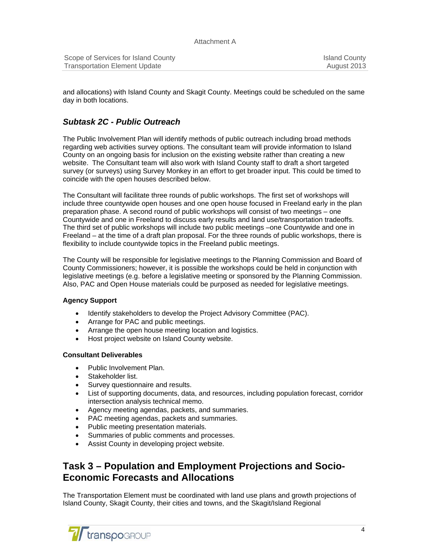| Scope of Services for Island County | <b>Island County</b> |
|-------------------------------------|----------------------|
| Transportation Element Update       | August 2013          |

and allocations) with Island County and Skagit County. Meetings could be scheduled on the same day in both locations.

## *Subtask 2C - Public Outreach*

The Public Involvement Plan will identify methods of public outreach including broad methods regarding web activities survey options. The consultant team will provide information to Island County on an ongoing basis for inclusion on the existing website rather than creating a new website. The Consultant team will also work with Island County staff to draft a short targeted survey (or surveys) using Survey Monkey in an effort to get broader input. This could be timed to coincide with the open houses described below.

The Consultant will facilitate three rounds of public workshops. The first set of workshops will include three countywide open houses and one open house focused in Freeland early in the plan preparation phase. A second round of public workshops will consist of two meetings – one Countywide and one in Freeland to discuss early results and land use/transportation tradeoffs. The third set of public workshops will include two public meetings –one Countywide and one in Freeland – at the time of a draft plan proposal. For the three rounds of public workshops, there is flexibility to include countywide topics in the Freeland public meetings.

The County will be responsible for legislative meetings to the Planning Commission and Board of County Commissioners; however, it is possible the workshops could be held in conjunction with legislative meetings (e.g. before a legislative meeting or sponsored by the Planning Commission. Also, PAC and Open House materials could be purposed as needed for legislative meetings.

### **Agency Support**

- Identify stakeholders to develop the Project Advisory Committee (PAC).
- Arrange for PAC and public meetings.
- Arrange the open house meeting location and logistics.
- Host project website on Island County website.

### **Consultant Deliverables**

- Public Involvement Plan.
- Stakeholder list.
- Survey questionnaire and results.
- List of supporting documents, data, and resources, including population forecast, corridor intersection analysis technical memo.
- Agency meeting agendas, packets, and summaries.
- PAC meeting agendas, packets and summaries.
- Public meeting presentation materials.
- Summaries of public comments and processes.
- Assist County in developing project website.

# **Task 3 – Population and Employment Projections and Socio-Economic Forecasts and Allocations**

The Transportation Element must be coordinated with land use plans and growth projections of Island County, Skagit County, their cities and towns, and the Skagit/Island Regional

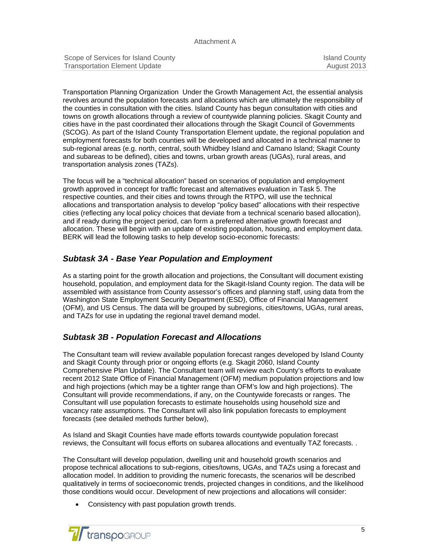| Scope of Services for Island County  | Island County |
|--------------------------------------|---------------|
| <b>Transportation Element Update</b> | August 2013   |

Transportation Planning Organization Under the Growth Management Act, the essential analysis revolves around the population forecasts and allocations which are ultimately the responsibility of the counties in consultation with the cities. Island County has begun consultation with cities and towns on growth allocations through a review of countywide planning policies. Skagit County and cities have in the past coordinated their allocations through the Skagit Council of Governments (SCOG). As part of the Island County Transportation Element update, the regional population and employment forecasts for both counties will be developed and allocated in a technical manner to sub-regional areas (e.g. north, central, south Whidbey Island and Camano Island; Skagit County and subareas to be defined), cities and towns, urban growth areas (UGAs), rural areas, and transportation analysis zones (TAZs).

The focus will be a "technical allocation" based on scenarios of population and employment growth approved in concept for traffic forecast and alternatives evaluation in Task 5. The respective counties, and their cities and towns through the RTPO, will use the technical allocations and transportation analysis to develop "policy based" allocations with their respective cities (reflecting any local policy choices that deviate from a technical scenario based allocation), and if ready during the project period, can form a preferred alternative growth forecast and allocation. These will begin with an update of existing population, housing, and employment data. BERK will lead the following tasks to help develop socio-economic forecasts:

## *Subtask 3A - Base Year Population and Employment*

As a starting point for the growth allocation and projections, the Consultant will document existing household, population, and employment data for the Skagit-Island County region. The data will be assembled with assistance from County assessor's offices and planning staff, using data from the Washington State Employment Security Department (ESD), Office of Financial Management (OFM), and US Census. The data will be grouped by subregions, cities/towns, UGAs, rural areas, and TAZs for use in updating the regional travel demand model.

## *Subtask 3B - Population Forecast and Allocations*

The Consultant team will review available population forecast ranges developed by Island County and Skagit County through prior or ongoing efforts (e.g. Skagit 2060, Island County Comprehensive Plan Update). The Consultant team will review each County's efforts to evaluate recent 2012 State Office of Financial Management (OFM) medium population projections and low and high projections (which may be a tighter range than OFM's low and high projections). The Consultant will provide recommendations, if any, on the Countywide forecasts or ranges. The Consultant will use population forecasts to estimate households using household size and vacancy rate assumptions. The Consultant will also link population forecasts to employment forecasts (see detailed methods further below),

As Island and Skagit Counties have made efforts towards countywide population forecast reviews, the Consultant will focus efforts on subarea allocations and eventually TAZ forecasts. .

The Consultant will develop population, dwelling unit and household growth scenarios and propose technical allocations to sub-regions, cities/towns, UGAs, and TAZs using a forecast and allocation model. In addition to providing the numeric forecasts, the scenarios will be described qualitatively in terms of socioeconomic trends, projected changes in conditions, and the likelihood those conditions would occur. Development of new projections and allocations will consider:

• Consistency with past population growth trends.

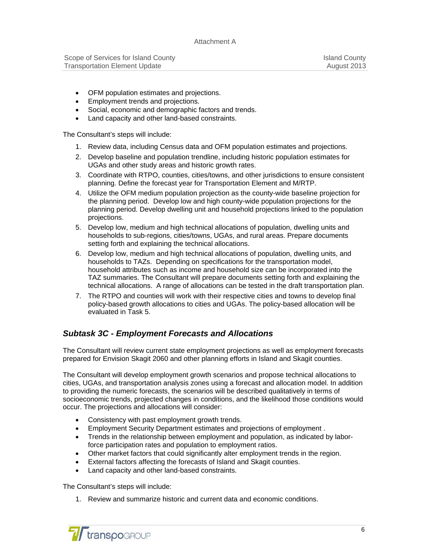- OFM population estimates and projections.
- **Employment trends and projections.**
- Social, economic and demographic factors and trends.
- Land capacity and other land-based constraints.

The Consultant's steps will include:

- 1. Review data, including Census data and OFM population estimates and projections.
- 2. Develop baseline and population trendline, including historic population estimates for UGAs and other study areas and historic growth rates.
- 3. Coordinate with RTPO, counties, cities/towns, and other jurisdictions to ensure consistent planning. Define the forecast year for Transportation Element and M/RTP.
- 4. Utilize the OFM medium population projection as the county-wide baseline projection for the planning period. Develop low and high county-wide population projections for the planning period. Develop dwelling unit and household projections linked to the population projections.
- 5. Develop low, medium and high technical allocations of population, dwelling units and households to sub-regions, cities/towns, UGAs, and rural areas. Prepare documents setting forth and explaining the technical allocations.
- 6. Develop low, medium and high technical allocations of population, dwelling units, and households to TAZs. Depending on specifications for the transportation model, household attributes such as income and household size can be incorporated into the TAZ summaries. The Consultant will prepare documents setting forth and explaining the technical allocations. A range of allocations can be tested in the draft transportation plan.
- 7. The RTPO and counties will work with their respective cities and towns to develop final policy-based growth allocations to cities and UGAs. The policy-based allocation will be evaluated in Task 5.

# *Subtask 3C - Employment Forecasts and Allocations*

The Consultant will review current state employment projections as well as employment forecasts prepared for Envision Skagit 2060 and other planning efforts in Island and Skagit counties.

The Consultant will develop employment growth scenarios and propose technical allocations to cities, UGAs, and transportation analysis zones using a forecast and allocation model. In addition to providing the numeric forecasts, the scenarios will be described qualitatively in terms of socioeconomic trends, projected changes in conditions, and the likelihood those conditions would occur. The projections and allocations will consider:

- Consistency with past employment growth trends.
- Employment Security Department estimates and projections of employment .
- Trends in the relationship between employment and population, as indicated by laborforce participation rates and population to employment ratios.
- Other market factors that could significantly alter employment trends in the region.
- External factors affecting the forecasts of Island and Skagit counties.
- Land capacity and other land-based constraints.

The Consultant's steps will include:

1. Review and summarize historic and current data and economic conditions.

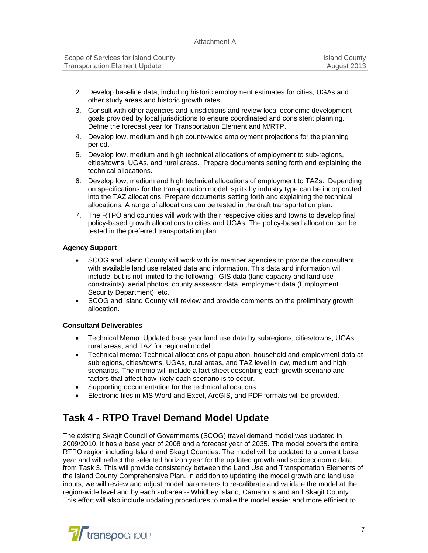| Scope of Services for Island County  | <b>Island County</b> |
|--------------------------------------|----------------------|
| <b>Transportation Element Update</b> | August 2013          |

- 2. Develop baseline data, including historic employment estimates for cities, UGAs and other study areas and historic growth rates.
- 3. Consult with other agencies and jurisdictions and review local economic development goals provided by local jurisdictions to ensure coordinated and consistent planning. Define the forecast year for Transportation Element and M/RTP.
- 4. Develop low, medium and high county-wide employment projections for the planning period.
- 5. Develop low, medium and high technical allocations of employment to sub-regions, cities/towns, UGAs, and rural areas. Prepare documents setting forth and explaining the technical allocations.
- 6. Develop low, medium and high technical allocations of employment to TAZs. Depending on specifications for the transportation model, splits by industry type can be incorporated into the TAZ allocations. Prepare documents setting forth and explaining the technical allocations. A range of allocations can be tested in the draft transportation plan.
- 7. The RTPO and counties will work with their respective cities and towns to develop final policy-based growth allocations to cities and UGAs. The policy-based allocation can be tested in the preferred transportation plan.

### **Agency Support**

- SCOG and Island County will work with its member agencies to provide the consultant with available land use related data and information. This data and information will include, but is not limited to the following: GIS data (land capacity and land use constraints), aerial photos, county assessor data, employment data (Employment Security Department), etc.
- SCOG and Island County will review and provide comments on the preliminary growth allocation.

### **Consultant Deliverables**

- Technical Memo: Updated base year land use data by subregions, cities/towns, UGAs, rural areas, and TAZ for regional model.
- Technical memo: Technical allocations of population, household and employment data at subregions, cities/towns, UGAs, rural areas, and TAZ level in low, medium and high scenarios. The memo will include a fact sheet describing each growth scenario and factors that affect how likely each scenario is to occur.
- Supporting documentation for the technical allocations.
- Electronic files in MS Word and Excel, ArcGIS, and PDF formats will be provided.

# **Task 4 - RTPO Travel Demand Model Update**

The existing Skagit Council of Governments (SCOG) travel demand model was updated in 2009/2010. It has a base year of 2008 and a forecast year of 2035. The model covers the entire RTPO region including Island and Skagit Counties. The model will be updated to a current base year and will reflect the selected horizon year for the updated growth and socioeconomic data from Task 3. This will provide consistency between the Land Use and Transportation Elements of the Island County Comprehensive Plan. In addition to updating the model growth and land use inputs, we will review and adjust model parameters to re-calibrate and validate the model at the region-wide level and by each subarea -- Whidbey Island, Camano Island and Skagit County. This effort will also include updating procedures to make the model easier and more efficient to

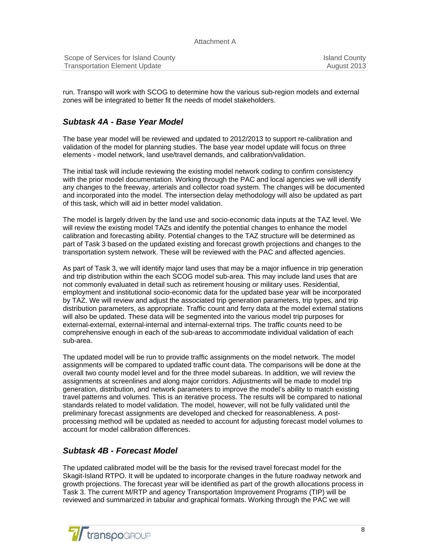| Scope of Services for Island County  | <b>Island County</b> |
|--------------------------------------|----------------------|
| <b>Transportation Element Update</b> | August 2013          |

run. Transpo will work with SCOG to determine how the various sub-region models and external zones will be integrated to better fit the needs of model stakeholders.

## *Subtask 4A - Base Year Model*

The base year model will be reviewed and updated to 2012/2013 to support re-calibration and validation of the model for planning studies. The base year model update will focus on three elements - model network, land use/travel demands, and calibration/validation.

The initial task will include reviewing the existing model network coding to confirm consistency with the prior model documentation. Working through the PAC and local agencies we will identify any changes to the freeway, arterials and collector road system. The changes will be documented and incorporated into the model. The intersection delay methodology will also be updated as part of this task, which will aid in better model validation.

The model is largely driven by the land use and socio-economic data inputs at the TAZ level. We will review the existing model TAZs and identify the potential changes to enhance the model calibration and forecasting ability. Potential changes to the TAZ structure will be determined as part of Task 3 based on the updated existing and forecast growth projections and changes to the transportation system network. These will be reviewed with the PAC and affected agencies.

As part of Task 3, we will identify major land uses that may be a major influence in trip generation and trip distribution within the each SCOG model sub-area. This may include land uses that are not commonly evaluated in detail such as retirement housing or military uses. Residential, employment and institutional socio-economic data for the updated base year will be incorporated by TAZ. We will review and adjust the associated trip generation parameters, trip types, and trip distribution parameters, as appropriate. Traffic count and ferry data at the model external stations will also be updated. These data will be segmented into the various model trip purposes for external-external, external-internal and internal-external trips. The traffic counts need to be comprehensive enough in each of the sub-areas to accommodate individual validation of each sub-area.

The updated model will be run to provide traffic assignments on the model network. The model assignments will be compared to updated traffic count data. The comparisons will be done at the overall two county model level and for the three model subareas. In addition, we will review the assignments at screenlines and along major corridors. Adjustments will be made to model trip generation, distribution, and network parameters to improve the model's ability to match existing travel patterns and volumes. This is an iterative process. The results will be compared to national standards related to model validation. The model, however, will not be fully validated until the preliminary forecast assignments are developed and checked for reasonableness. A postprocessing method will be updated as needed to account for adjusting forecast model volumes to account for model calibration differences.

## *Subtask 4B - Forecast Model*

The updated calibrated model will be the basis for the revised travel forecast model for the Skagit-Island RTPO. It will be updated to incorporate changes in the future roadway network and growth projections. The forecast year will be identified as part of the growth allocations process in Task 3. The current M/RTP and agency Transportation Improvement Programs (TIP) will be reviewed and summarized in tabular and graphical formats. Working through the PAC we will

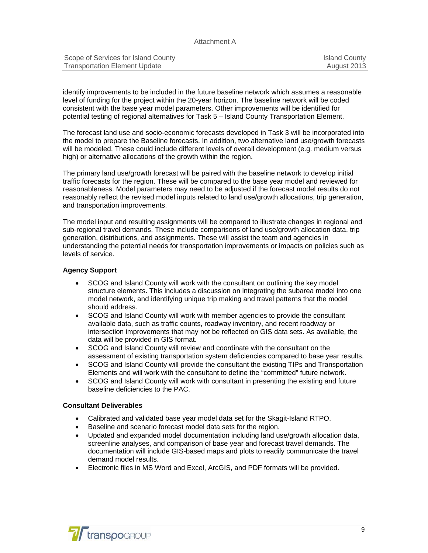#### Attachment A

| Scope of Services for Island County  | <b>Island County</b> |
|--------------------------------------|----------------------|
| <b>Transportation Element Update</b> | August 2013          |

identify improvements to be included in the future baseline network which assumes a reasonable level of funding for the project within the 20-year horizon. The baseline network will be coded consistent with the base year model parameters. Other improvements will be identified for potential testing of regional alternatives for Task 5 – Island County Transportation Element.

The forecast land use and socio-economic forecasts developed in Task 3 will be incorporated into the model to prepare the Baseline forecasts. In addition, two alternative land use/growth forecasts will be modeled. These could include different levels of overall development (e.g. medium versus high) or alternative allocations of the growth within the region.

The primary land use/growth forecast will be paired with the baseline network to develop initial traffic forecasts for the region. These will be compared to the base year model and reviewed for reasonableness. Model parameters may need to be adjusted if the forecast model results do not reasonably reflect the revised model inputs related to land use/growth allocations, trip generation, and transportation improvements.

The model input and resulting assignments will be compared to illustrate changes in regional and sub-regional travel demands. These include comparisons of land use/growth allocation data, trip generation, distributions, and assignments. These will assist the team and agencies in understanding the potential needs for transportation improvements or impacts on policies such as levels of service.

### **Agency Support**

- SCOG and Island County will work with the consultant on outlining the key model structure elements. This includes a discussion on integrating the subarea model into one model network, and identifying unique trip making and travel patterns that the model should address.
- SCOG and Island County will work with member agencies to provide the consultant available data, such as traffic counts, roadway inventory, and recent roadway or intersection improvements that may not be reflected on GIS data sets. As available, the data will be provided in GIS format.
- SCOG and Island County will review and coordinate with the consultant on the assessment of existing transportation system deficiencies compared to base year results.
- SCOG and Island County will provide the consultant the existing TIPs and Transportation Elements and will work with the consultant to define the "committed" future network.
- SCOG and Island County will work with consultant in presenting the existing and future baseline deficiencies to the PAC.

### **Consultant Deliverables**

- Calibrated and validated base year model data set for the Skagit-Island RTPO.
- Baseline and scenario forecast model data sets for the region.
- Updated and expanded model documentation including land use/growth allocation data, screenline analyses, and comparison of base year and forecast travel demands. The documentation will include GIS-based maps and plots to readily communicate the travel demand model results.
- Electronic files in MS Word and Excel, ArcGIS, and PDF formats will be provided.

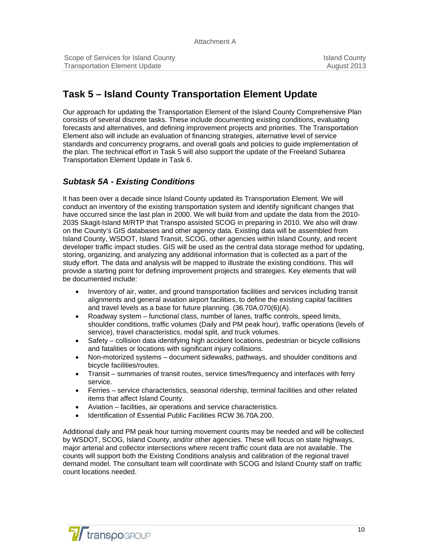# **Task 5 – Island County Transportation Element Update**

Our approach for updating the Transportation Element of the Island County Comprehensive Plan consists of several discrete tasks. These include documenting existing conditions, evaluating forecasts and alternatives, and defining improvement projects and priorities. The Transportation Element also will include an evaluation of financing strategies, alternative level of service standards and concurrency programs, and overall goals and policies to guide implementation of the plan. The technical effort in Task 5 will also support the update of the Freeland Subarea Transportation Element Update in Task 6.

## *Subtask 5A - Existing Conditions*

It has been over a decade since Island County updated its Transportation Element. We will conduct an inventory of the existing transportation system and identify significant changes that have occurred since the last plan in 2000. We will build from and update the data from the 2010- 2035 Skagit-Island M/RTP that Transpo assisted SCOG in preparing in 2010. We also will draw on the County's GIS databases and other agency data. Existing data will be assembled from Island County, WSDOT, Island Transit, SCOG, other agencies within Island County, and recent developer traffic impact studies. GIS will be used as the central data storage method for updating, storing, organizing, and analyzing any additional information that is collected as a part of the study effort. The data and analysis will be mapped to illustrate the existing conditions. This will provide a starting point for defining improvement projects and strategies. Key elements that will be documented include:

- Inventory of air, water, and ground transportation facilities and services including transit alignments and general aviation airport facilities, to define the existing capital facilities and travel levels as a base for future planning. (36.70A.070(6)(A).
- Roadway system functional class, number of lanes, traffic controls, speed limits, shoulder conditions, traffic volumes (Daily and PM peak hour), traffic operations (levels of service), travel characteristics, modal split, and truck volumes.
- Safety collision data identifying high accident locations, pedestrian or bicycle collisions and fatalities or locations with significant injury collisions.
- Non-motorized systems document sidewalks, pathways, and shoulder conditions and bicycle facilities/routes.
- Transit summaries of transit routes, service times/frequency and interfaces with ferry service.
- Ferries service characteristics, seasonal ridership, terminal facilities and other related items that affect Island County.
- Aviation facilities, air operations and service characteristics.
- Identification of Essential Public Facilities RCW 36.70A.200.

Additional daily and PM peak hour turning movement counts may be needed and will be collected by WSDOT, SCOG, Island County, and/or other agencies. These will focus on state highways, major arterial and collector intersections where recent traffic count data are not available. The counts will support both the Existing Conditions analysis and calibration of the regional travel demand model. The consultant team will coordinate with SCOG and Island County staff on traffic count locations needed.

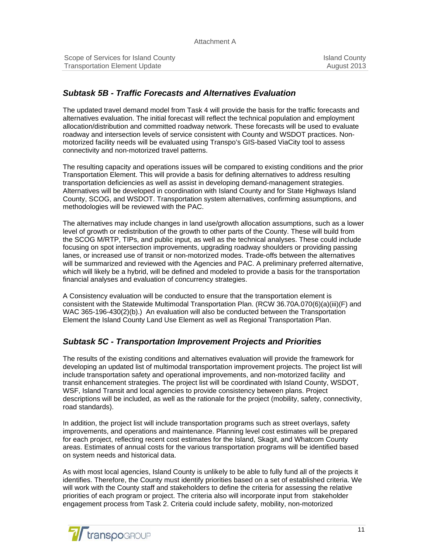| Scope of Services for Island County  | <b>Island County</b> |
|--------------------------------------|----------------------|
| <b>Transportation Element Update</b> | August 2013          |

## *Subtask 5B - Traffic Forecasts and Alternatives Evaluation*

The updated travel demand model from Task 4 will provide the basis for the traffic forecasts and alternatives evaluation. The initial forecast will reflect the technical population and employment allocation/distribution and committed roadway network. These forecasts will be used to evaluate roadway and intersection levels of service consistent with County and WSDOT practices. Nonmotorized facility needs will be evaluated using Transpo's GIS-based ViaCity tool to assess connectivity and non-motorized travel patterns.

The resulting capacity and operations issues will be compared to existing conditions and the prior Transportation Element. This will provide a basis for defining alternatives to address resulting transportation deficiencies as well as assist in developing demand-management strategies. Alternatives will be developed in coordination with Island County and for State Highways Island County, SCOG, and WSDOT. Transportation system alternatives, confirming assumptions, and methodologies will be reviewed with the PAC.

The alternatives may include changes in land use/growth allocation assumptions, such as a lower level of growth or redistribution of the growth to other parts of the County. These will build from the SCOG M/RTP, TIPs, and public input, as well as the technical analyses. These could include focusing on spot intersection improvements, upgrading roadway shoulders or providing passing lanes, or increased use of transit or non-motorized modes. Trade-offs between the alternatives will be summarized and reviewed with the Agencies and PAC. A preliminary preferred alternative, which will likely be a hybrid, will be defined and modeled to provide a basis for the transportation financial analyses and evaluation of concurrency strategies.

A Consistency evaluation will be conducted to ensure that the transportation element is consistent with the Statewide Multimodal Transportation Plan. (RCW 36.70A.070(6)(a)(iii)(F) and WAC 365-196-430(2)(b).) An evaluation will also be conducted between the Transportation Element the Island County Land Use Element as well as Regional Transportation Plan.

## *Subtask 5C - Transportation Improvement Projects and Priorities*

The results of the existing conditions and alternatives evaluation will provide the framework for developing an updated list of multimodal transportation improvement projects. The project list will include transportation safety and operational improvements, and non-motorized facility and transit enhancement strategies. The project list will be coordinated with Island County, WSDOT, WSF, Island Transit and local agencies to provide consistency between plans. Project descriptions will be included, as well as the rationale for the project (mobility, safety, connectivity, road standards).

In addition, the project list will include transportation programs such as street overlays, safety improvements, and operations and maintenance. Planning level cost estimates will be prepared for each project, reflecting recent cost estimates for the Island, Skagit, and Whatcom County areas. Estimates of annual costs for the various transportation programs will be identified based on system needs and historical data.

As with most local agencies, Island County is unlikely to be able to fully fund all of the projects it identifies. Therefore, the County must identify priorities based on a set of established criteria. We will work with the County staff and stakeholders to define the criteria for assessing the relative priorities of each program or project. The criteria also will incorporate input from stakeholder engagement process from Task 2. Criteria could include safety, mobility, non-motorized

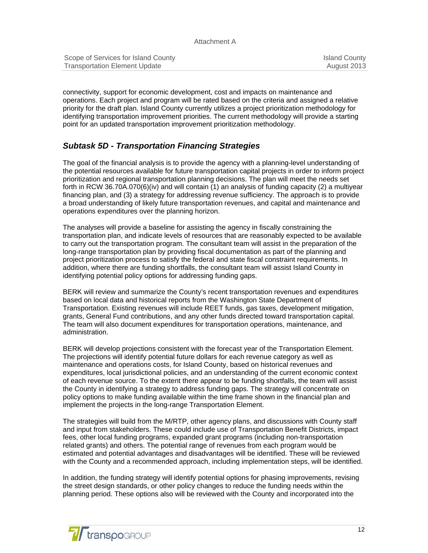| Scope of Services for Island County  | <b>Island County</b> |
|--------------------------------------|----------------------|
| <b>Transportation Element Update</b> | August 2013          |

connectivity, support for economic development, cost and impacts on maintenance and operations. Each project and program will be rated based on the criteria and assigned a relative priority for the draft plan. Island County currently utilizes a project prioritization methodology for identifying transportation improvement priorities. The current methodology will provide a starting point for an updated transportation improvement prioritization methodology.

## *Subtask 5D - Transportation Financing Strategies*

The goal of the financial analysis is to provide the agency with a planning-level understanding of the potential resources available for future transportation capital projects in order to inform project prioritization and regional transportation planning decisions. The plan will meet the needs set forth in RCW 36.70A.070(6)(iv) and will contain (1) an analysis of funding capacity (2) a multiyear financing plan, and (3) a strategy for addressing revenue sufficiency. The approach is to provide a broad understanding of likely future transportation revenues, and capital and maintenance and operations expenditures over the planning horizon.

The analyses will provide a baseline for assisting the agency in fiscally constraining the transportation plan, and indicate levels of resources that are reasonably expected to be available to carry out the transportation program. The consultant team will assist in the preparation of the long-range transportation plan by providing fiscal documentation as part of the planning and project prioritization process to satisfy the federal and state fiscal constraint requirements. In addition, where there are funding shortfalls, the consultant team will assist Island County in identifying potential policy options for addressing funding gaps.

BERK will review and summarize the County's recent transportation revenues and expenditures based on local data and historical reports from the Washington State Department of Transportation. Existing revenues will include REET funds, gas taxes, development mitigation, grants, General Fund contributions, and any other funds directed toward transportation capital. The team will also document expenditures for transportation operations, maintenance, and administration.

BERK will develop projections consistent with the forecast year of the Transportation Element. The projections will identify potential future dollars for each revenue category as well as maintenance and operations costs, for Island County, based on historical revenues and expenditures, local jurisdictional policies, and an understanding of the current economic context of each revenue source. To the extent there appear to be funding shortfalls, the team will assist the County in identifying a strategy to address funding gaps. The strategy will concentrate on policy options to make funding available within the time frame shown in the financial plan and implement the projects in the long-range Transportation Element.

The strategies will build from the M/RTP, other agency plans, and discussions with County staff and input from stakeholders. These could include use of Transportation Benefit Districts, impact fees, other local funding programs, expanded grant programs (including non-transportation related grants) and others. The potential range of revenues from each program would be estimated and potential advantages and disadvantages will be identified. These will be reviewed with the County and a recommended approach, including implementation steps, will be identified.

In addition, the funding strategy will identify potential options for phasing improvements, revising the street design standards, or other policy changes to reduce the funding needs within the planning period. These options also will be reviewed with the County and incorporated into the

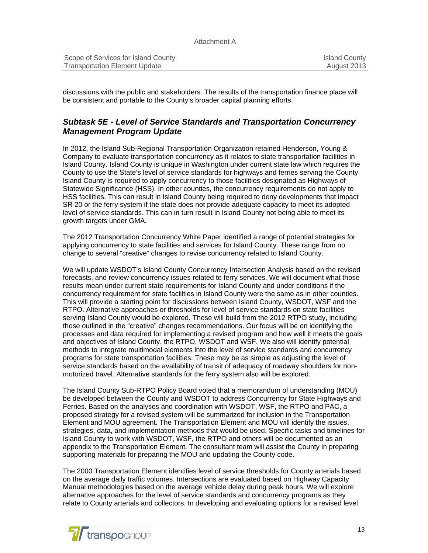| Scope of Services for Island County  | <b>Island County</b> |
|--------------------------------------|----------------------|
| <b>Transportation Element Update</b> | August 2013          |

discussions with the public and stakeholders. The results of the transportation finance place will be consistent and portable to the County's broader capital planning efforts.

## *Subtask 5E - Level of Service Standards and Transportation Concurrency Management Program Update*

In 2012, the Island Sub-Regional Transportation Organization retained Henderson, Young & Company to evaluate transportation concurrency as it relates to state transportation facilities in Island County. Island County is unique in Washington under current state law which requires the County to use the State's level of service standards for highways and ferries serving the County. Island County is required to apply concurrency to those facilities designated as Highways of Statewide Significance (HSS). In other counties, the concurrency requirements do not apply to HSS facilities. This can result in Island County being required to deny developments that impact SR 20 or the ferry system if the state does not provide adequate capacity to meet its adopted level of service standards. This can in turn result in Island County not being able to meet its growth targets under GMA.

The 2012 Transportation Concurrency White Paper identified a range of potential strategies for applying concurrency to state facilities and services for Island County. These range from no change to several "creative" changes to revise concurrency related to Island County.

We will update WSDOT's Island County Concurrency Intersection Analysis based on the revised forecasts, and review concurrency issues related to ferry services. We will document what those results mean under current state requirements for Island County and under conditions if the concurrency requirement for state facilities in Island County were the same as in other counties. This will provide a starting point for discussions between Island County, WSDOT, WSF and the RTPO. Alternative approaches or thresholds for level of service standards on state facilities serving Island County would be explored. These will build from the 2012 RTPO study, including those outlined in the "creative" changes recommendations. Our focus will be on identifying the processes and data required for implementing a revised program and how well it meets the goals and objectives of Island County, the RTPO, WSDOT and WSF. We also will identify potential methods to integrate multimodal elements into the level of service standards and concurrency programs for state transportation facilities. These may be as simple as adjusting the level of service standards based on the availability of transit of adequacy of roadway shoulders for nonmotorized travel. Alternative standards for the ferry system also will be explored.

The Island County Sub-RTPO Policy Board voted that a memorandum of understanding (MOU) be developed between the County and WSDOT to address Concurrency for State Highways and Ferries. Based on the analyses and coordination with WSDOT, WSF, the RTPO and PAC, a proposed strategy for a revised system will be summarized for inclusion in the Transportation Element and MOU agreement. The Transportation Element and MOU will identify the issues, strategies, data, and implementation methods that would be used. Specific tasks and timelines for Island County to work with WSDOT, WSF, the RTPO and others will be documented as an appendix to the Transportation Element. The consultant team will assist the County in preparing supporting materials for preparing the MOU and updating the County code.

The 2000 Transportation Element identifies level of service thresholds for County arterials based on the average daily traffic volumes. Intersections are evaluated based on Highway Capacity Manual methodologies based on the average vehicle delay during peak hours. We will explore alternative approaches for the level of service standards and concurrency programs as they relate to County arterials and collectors. In developing and evaluating options for a revised level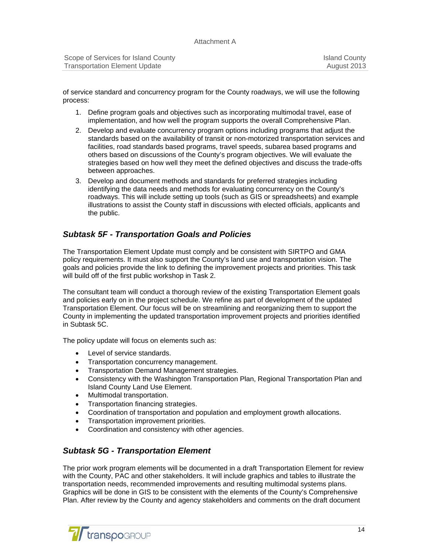| Scope of Services for Island County  | <b>Island County</b> |
|--------------------------------------|----------------------|
| <b>Transportation Element Update</b> | August 2013          |

of service standard and concurrency program for the County roadways, we will use the following process:

- 1. Define program goals and objectives such as incorporating multimodal travel, ease of implementation, and how well the program supports the overall Comprehensive Plan.
- 2. Develop and evaluate concurrency program options including programs that adjust the standards based on the availability of transit or non-motorized transportation services and facilities, road standards based programs, travel speeds, subarea based programs and others based on discussions of the County's program objectives. We will evaluate the strategies based on how well they meet the defined objectives and discuss the trade-offs between approaches.
- 3. Develop and document methods and standards for preferred strategies including identifying the data needs and methods for evaluating concurrency on the County's roadways. This will include setting up tools (such as GIS or spreadsheets) and example illustrations to assist the County staff in discussions with elected officials, applicants and the public.

## *Subtask 5F - Transportation Goals and Policies*

The Transportation Element Update must comply and be consistent with SIRTPO and GMA policy requirements. It must also support the County's land use and transportation vision. The goals and policies provide the link to defining the improvement projects and priorities. This task will build off of the first public workshop in Task 2.

The consultant team will conduct a thorough review of the existing Transportation Element goals and policies early on in the project schedule. We refine as part of development of the updated Transportation Element. Our focus will be on streamlining and reorganizing them to support the County in implementing the updated transportation improvement projects and priorities identified in Subtask 5C.

The policy update will focus on elements such as:

- Level of service standards.
- Transportation concurrency management.
- Transportation Demand Management strategies.
- Consistency with the Washington Transportation Plan, Regional Transportation Plan and Island County Land Use Element.
- Multimodal transportation.
- Transportation financing strategies.
- Coordination of transportation and population and employment growth allocations.
- Transportation improvement priorities.
- Coordination and consistency with other agencies.

## *Subtask 5G - Transportation Element*

The prior work program elements will be documented in a draft Transportation Element for review with the County, PAC and other stakeholders. It will include graphics and tables to illustrate the transportation needs, recommended improvements and resulting multimodal systems plans. Graphics will be done in GIS to be consistent with the elements of the County's Comprehensive Plan. After review by the County and agency stakeholders and comments on the draft document